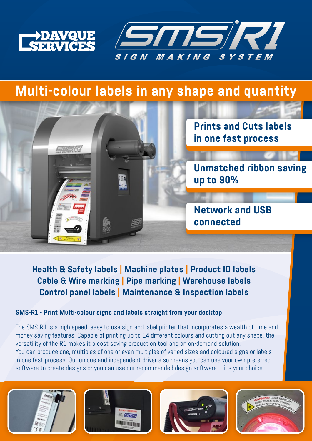

msk



# **Multi-colour labels in any shape and quantity**

**Prints and Cuts labels in one fast process**

**Unmatched ribbon saving up to 90%**

**Network and USB connected**

**Health & Safety labels | Machine plates | Product ID labels Cable & Wire marking | Pipe marking | Warehouse labels Control panel labels | Maintenance & Inspection labels**

### **SMS-R1 - Print Multi-colour signs and labels straight from your desktop**

The SMS-R1 is a high speed, easy to use sign and label printer that incorporates a wealth of time and money saving features. Capable of printing up to 14 different colours and cutting out any shape, the versatility of the R1 makes it a cost saving production tool and an on-demand solution. You can produce one, multiples of one or even multiples of varied sizes and coloured signs or labels in one fast process. Our unique and independent driver also means you can use your own preferred software to create designs or you can use our recommended design software – it's your choice.







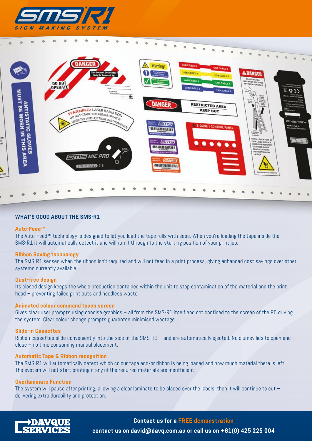



### **WHAT'S GOOD ABOUT THE SMS-R1**

#### **Auto-Feed™**

The Auto-Feed™ technology is designed to let you load the tape rolls with ease. When you're loading the tape inside the SMS-R1 it will automatically detect it and will run it through to the starting position of your print job.

### **Ribbon Saving technology**

The SMS-R1 senses when the ribbon isn't required and will not feed in a print process, giving enhanced cost savings over other systems currently available.

#### **Dust-free design**

Its closed design keeps the whole production contained within the unit to stop contamination of the material and the print head – preventing failed print outs and needless waste.

#### **Animated colour command touch screen**

Gives clear user prompts using concise graphics – all from the SMS-R1 itself and not confined to the screen of the PC driving the system. Clear colour change prompts guarantee minimised wastage.

#### **Slide-in Cassettes**

Ribbon cassettes slide conveniently into the side of the SMS-R1 – and are automatically ejected. No clumsy lids to open and close – no time consuming manual placement.

#### **Automatic Tape & Ribbon recognition**

The SMS-R1 will automatically detect which colour tape and/or ribbon is being loaded and how much material there is left. The system will not start printing if any of the required materials are insufficient.

### **Overlaminate Function**

The system will pause after printing, allowing a clear laminate to be placed over the labels, then it will continue to cut delivering extra durability and protection.



**Contact us for a FREE demonstration contact us on david@davq.com.au or call us on +61(0) 425 225 004**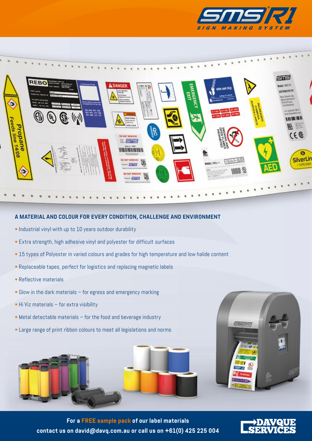



### **A MATERIAL AND COLOUR FOR EVERY CONDITION, CHALLENGE AND ENVIRONMENT**

- Industrial vinyl with up to 10 years outdoor durability
- Extra strength, high adhesive vinyl and polyester for difficult surfaces
- 15 types of Polyester in varied colours and grades for high temperature and low halide content
- Replaceable tapes, perfect for logistics and replacing magnetic labels
- Reflective materials
- Glow in the dark materials for egress and emergency marking
- Hi Viz materials for extra visibility
- Metal detectable materials for the food and beverage industry
- Large range of print ribbon colours to meet all legislations and norms





**For a FREE sample pack of our label materials contact us on david@davq.com.au or call us on +61(0) 425 225 004**